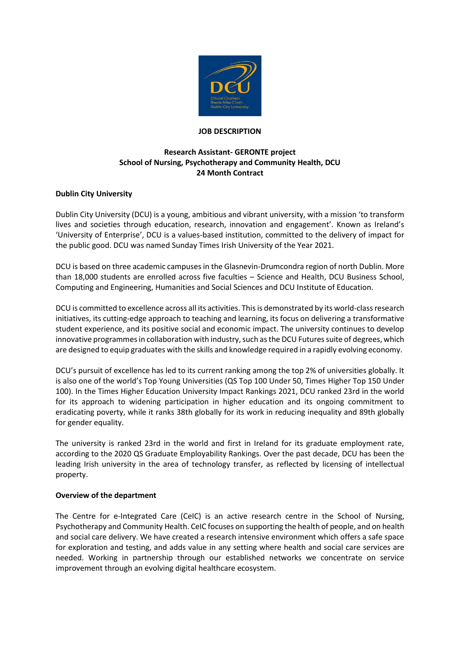

#### **JOB DESCRIPTION**

# **Research Assistant- GERONTE project School of Nursing, Psychotherapy and Community Health, DCU 24 Month Contract**

## **Dublin City University**

Dublin City University (DCU) is a young, ambitious and vibrant university, with a mission 'to transform lives and societies through education, research, innovation and engagement'. Known as Ireland's 'University of Enterprise', DCU is a values-based institution, committed to the delivery of impact for the public good. DCU was named Sunday Times Irish University of the Year 2021.

DCU is based on three academic campuses in the Glasnevin-Drumcondra region of north Dublin. More than 18,000 students are enrolled across five faculties – Science and Health, DCU Business School, Computing and Engineering, Humanities and Social Sciences and DCU Institute of Education.

DCU is committed to excellence across all its activities. This is demonstrated by its world-class research initiatives, its cutting-edge approach to teaching and learning, its focus on delivering a transformative student experience, and its positive social and economic impact. The university continues to develop innovative programmes in collaboration with industry, such as the DCU Futures suite of degrees, which are designed to equip graduates with the skills and knowledge required in a rapidly evolving economy.

DCU's pursuit of excellence has led to its current ranking among the top 2% of universities globally. It is also one of the world's Top Young Universities (QS Top 100 Under 50, Times Higher Top 150 Under 100). In the Times Higher Education University Impact Rankings 2021, DCU ranked 23rd in the world for its approach to widening participation in higher education and its ongoing commitment to eradicating poverty, while it ranks 38th globally for its work in reducing inequality and 89th globally for gender equality.

The university is ranked 23rd in the world and first in Ireland for its graduate employment rate, according to the 2020 QS Graduate Employability Rankings. Over the past decade, DCU has been the leading Irish university in the area of technology transfer, as reflected by licensing of intellectual property.

### **Overview of the department**

The Centre for e-Integrated Care (CeIC) is an active research centre in the School of Nursing, Psychotherapy and Community Health. CeIC focuses on supporting the health of people, and on health and social care delivery. We have created a research intensive environment which offers a safe space for exploration and testing, and adds value in any setting where health and social care services are needed. Working in partnership through our established networks we concentrate on service improvement through an evolving digital healthcare ecosystem.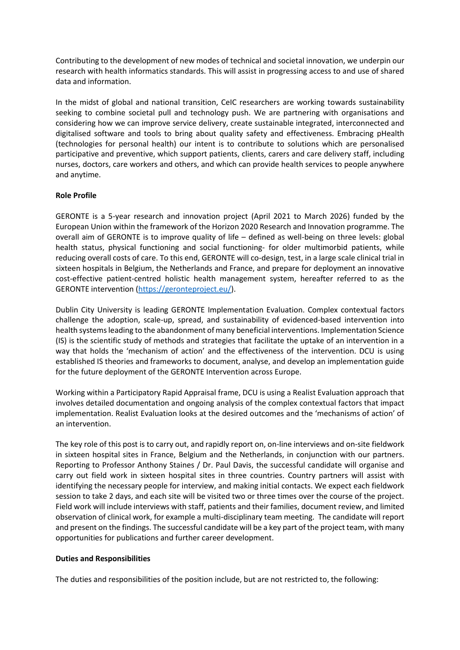Contributing to the development of new modes of technical and societal innovation, we underpin our research with health informatics standards. This will assist in progressing access to and use of shared data and information.

In the midst of global and national transition, CeIC researchers are working towards sustainability seeking to combine societal pull and technology push. We are partnering with organisations and considering how we can improve service delivery, create sustainable integrated, interconnected and digitalised software and tools to bring about quality safety and effectiveness. Embracing pHealth (technologies for personal health) our intent is to contribute to solutions which are personalised participative and preventive, which support patients, clients, carers and care delivery staff, including nurses, doctors, care workers and others, and which can provide health services to people anywhere and anytime.

## **Role Profile**

GERONTE is a 5-year research and innovation project (April 2021 to March 2026) funded by the European Union within the framework of the Horizon 2020 Research and Innovation programme. The overall aim of GERONTE is to improve quality of life – defined as well-being on three levels: global health status, physical functioning and social functioning- for older multimorbid patients, while reducing overall costs of care. To this end, GERONTE will co-design, test, in a large scale clinical trial in sixteen hospitals in Belgium, the Netherlands and France, and prepare for deployment an innovative cost-effective patient-centred holistic health management system, hereafter referred to as the GERONTE intervention [\(https://geronteproject.eu/\)](https://geronteproject.eu/).

Dublin City University is leading GERONTE Implementation Evaluation. Complex contextual factors challenge the adoption, scale-up, spread, and sustainability of evidenced-based intervention into health systems leading to the abandonment of many beneficial interventions. Implementation Science (IS) is the scientific study of methods and strategies that facilitate the uptake of an intervention in a way that holds the 'mechanism of action' and the effectiveness of the intervention. DCU is using established IS theories and frameworks to document, analyse, and develop an implementation guide for the future deployment of the GERONTE Intervention across Europe.

Working within a Participatory Rapid Appraisal frame, DCU is using a Realist Evaluation approach that involves detailed documentation and ongoing analysis of the complex contextual factors that impact implementation. Realist Evaluation looks at the desired outcomes and the 'mechanisms of action' of an intervention.

The key role of this post is to carry out, and rapidly report on, on-line interviews and on-site fieldwork in sixteen hospital sites in France, Belgium and the Netherlands, in conjunction with our partners. Reporting to Professor Anthony Staines / Dr. Paul Davis, the successful candidate will organise and carry out field work in sixteen hospital sites in three countries. Country partners will assist with identifying the necessary people for interview, and making initial contacts. We expect each fieldwork session to take 2 days, and each site will be visited two or three times over the course of the project. Field work will include interviews with staff, patients and their families, document review, and limited observation of clinical work, for example a multi-disciplinary team meeting. The candidate will report and present on the findings. The successful candidate will be a key part of the project team, with many opportunities for publications and further career development.

### **Duties and Responsibilities**

The duties and responsibilities of the position include, but are not restricted to, the following: